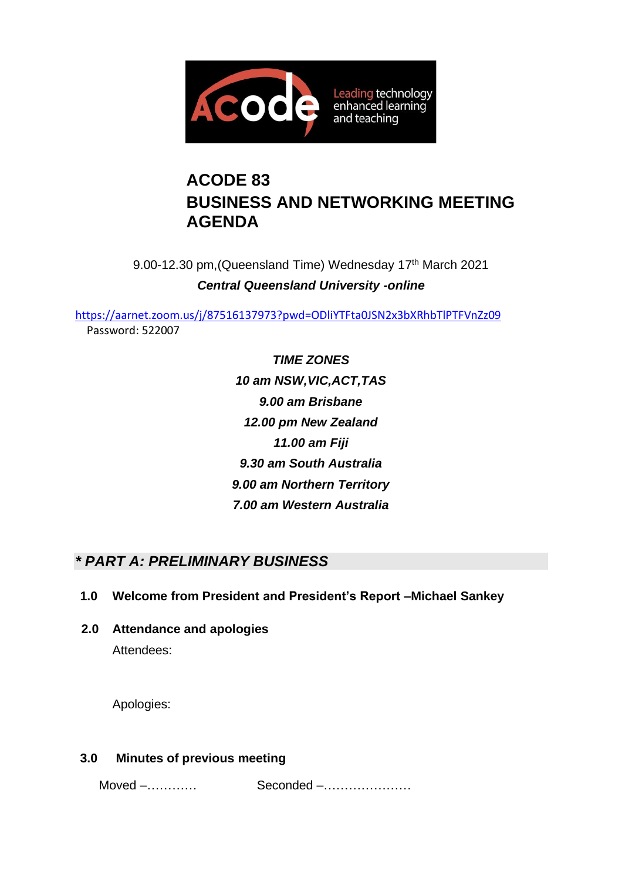

# **ACODE 83 BUSINESS AND NETWORKING MEETING AGENDA**

9.00-12.30 pm, (Queensland Time) Wednesday 17<sup>th</sup> March 2021 *Central Queensland University -online*

<https://aarnet.zoom.us/j/87516137973?pwd=ODliYTFta0JSN2x3bXRhbTlPTFVnZz09> Password: 522007

> *TIME ZONES 10 am NSW,VIC,ACT,TAS 9.00 am Brisbane 12.00 pm New Zealand 11.00 am Fiji 9.30 am South Australia 9.00 am Northern Territory 7.00 am Western Australia*

*\* PART A: PRELIMINARY BUSINESS*

# **1.0 Welcome from President and President's Report –Michael Sankey**

**2.0 Attendance and apologies** Attendees:

Apologies:

# **3.0 Minutes of previous meeting**

Moved –………… Seconded –…………………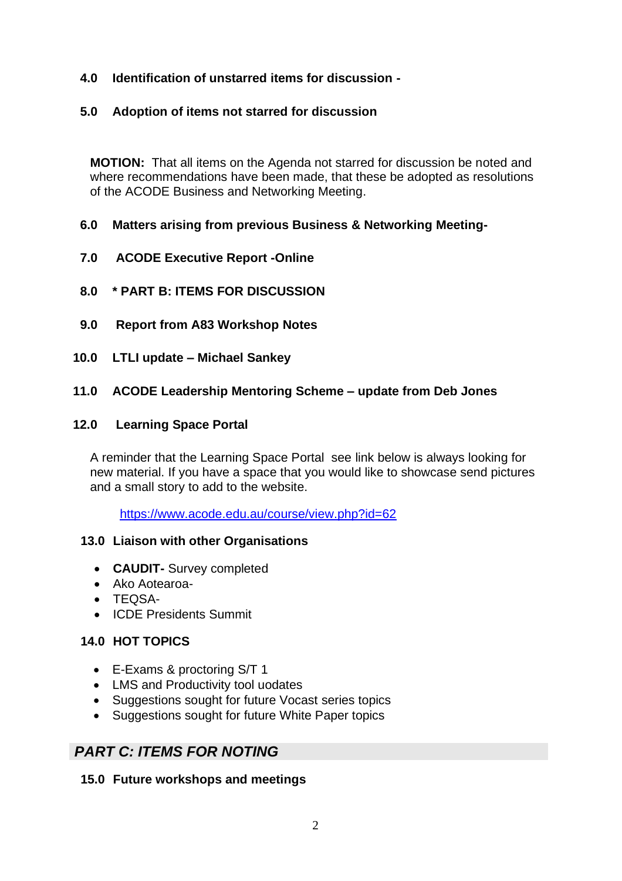# **4.0 Identification of unstarred items for discussion -**

# **5.0 Adoption of items not starred for discussion**

**MOTION:** That all items on the Agenda not starred for discussion be noted and where recommendations have been made, that these be adopted as resolutions of the ACODE Business and Networking Meeting.

# **6.0 Matters arising from previous Business & Networking Meeting-**

- **7.0 ACODE Executive Report -Online**
- **8.0 \* PART B: ITEMS FOR DISCUSSION**
- **9.0 Report from A83 Workshop Notes**
- **10.0 LTLI update – Michael Sankey**

# **11.0 ACODE Leadership Mentoring Scheme – update from Deb Jones**

### **12.0 Learning Space Portal**

A reminder that the Learning Space Portal see link below is always looking for new material. If you have a space that you would like to showcase send pictures and a small story to add to the website.

<https://www.acode.edu.au/course/view.php?id=62>

#### **13.0 Liaison with other Organisations**

- **CAUDIT-** Survey completed
- Ako Aotearoa-
- TEQSA-
- ICDE Presidents Summit

#### **14.0 HOT TOPICS**

- E-Exams & proctoring S/T 1
- LMS and Productivity tool uodates
- Suggestions sought for future Vocast series topics
- Suggestions sought for future White Paper topics

# *PART C: ITEMS FOR NOTING*

# **15.0 Future workshops and meetings**